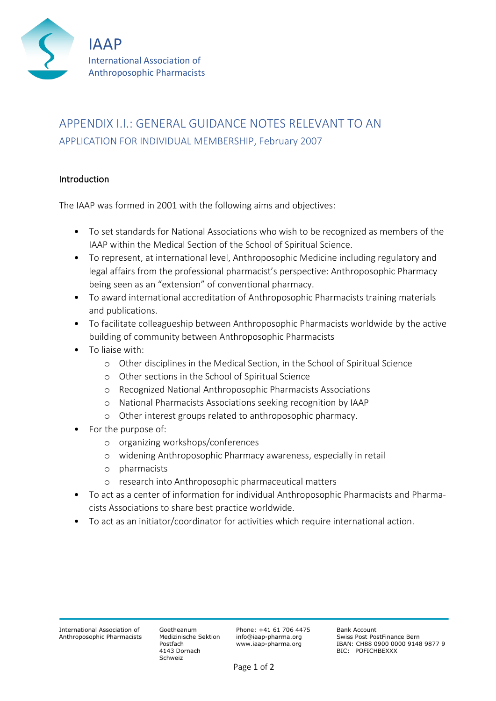

# APPENDIX I.I.: GENERAL GUIDANCE NOTES RELEVANT TO AN APPLICATION FOR INDIVIDUAL MEMBERSHIP, February 2007

# Introduction

The IAAP was formed in 2001 with the following aims and objectives:

- To set standards for National Associations who wish to be recognized as members of the IAAP within the Medical Section of the School of Spiritual Science.
- To represent, at international level, Anthroposophic Medicine including regulatory and legal affairs from the professional pharmacist's perspective: Anthroposophic Pharmacy being seen as an "extension" of conventional pharmacy.
- To award international accreditation of Anthroposophic Pharmacists training materials and publications.
- To facilitate colleagueship between Anthroposophic Pharmacists worldwide by the active building of community between Anthroposophic Pharmacists
- To liaise with:
	- o Other disciplines in the Medical Section, in the School of Spiritual Science
	- o Other sections in the School of Spiritual Science
	- o Recognized National Anthroposophic Pharmacists Associations
	- o National Pharmacists Associations seeking recognition by IAAP
	- o Other interest groups related to anthroposophic pharmacy.
- For the purpose of:
	- o organizing workshops/conferences
	- o widening Anthroposophic Pharmacy awareness, especially in retail
	- o pharmacists
	- o research into Anthroposophic pharmaceutical matters
- To act as a center of information for individual Anthroposophic Pharmacists and Pharmacists Associations to share best practice worldwide.
- To act as an initiator/coordinator for activities which require international action.

Goetheanum Medizinische Sektion Postfach 4143 Dornach Schweiz

Phone: +41 61 706 4475 info@iaap-pharma.org www.iaap-pharma.org